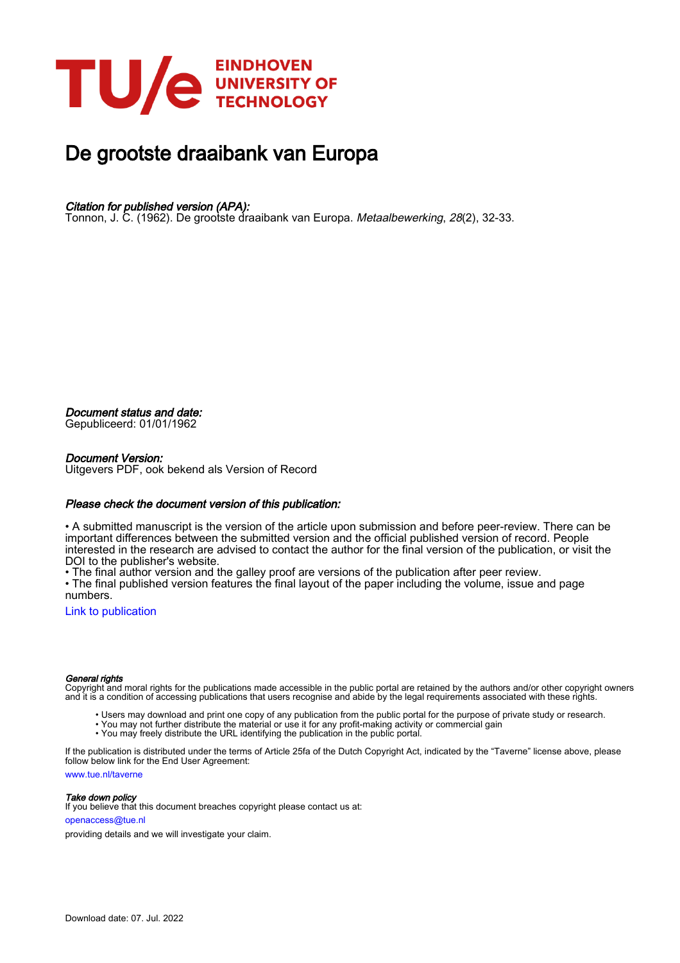

# De grootste draaibank van Europa

## Citation for published version (APA):

Tonnon, J. C. (1962). De grootste draaibank van Europa. Metaalbewerking, 28(2), 32-33.

Document status and date:

Gepubliceerd: 01/01/1962

### Document Version:

Uitgevers PDF, ook bekend als Version of Record

### Please check the document version of this publication:

• A submitted manuscript is the version of the article upon submission and before peer-review. There can be important differences between the submitted version and the official published version of record. People interested in the research are advised to contact the author for the final version of the publication, or visit the DOI to the publisher's website.

• The final author version and the galley proof are versions of the publication after peer review.

• The final published version features the final layout of the paper including the volume, issue and page numbers.

[Link to publication](https://research.tue.nl/nl/publications/9eb16f34-3b15-4366-8cee-6f51bda66b0b)

### General rights

Copyright and moral rights for the publications made accessible in the public portal are retained by the authors and/or other copyright owners and it is a condition of accessing publications that users recognise and abide by the legal requirements associated with these rights.

- Users may download and print one copy of any publication from the public portal for the purpose of private study or research.
- You may not further distribute the material or use it for any profit-making activity or commercial gain
- You may freely distribute the URL identifying the publication in the public portal.

If the publication is distributed under the terms of Article 25fa of the Dutch Copyright Act, indicated by the "Taverne" license above, please follow below link for the End User Agreement:

www.tue.nl/taverne

**Take down policy**<br>If you believe that this document breaches copyright please contact us at:

openaccess@tue.nl

providing details and we will investigate your claim.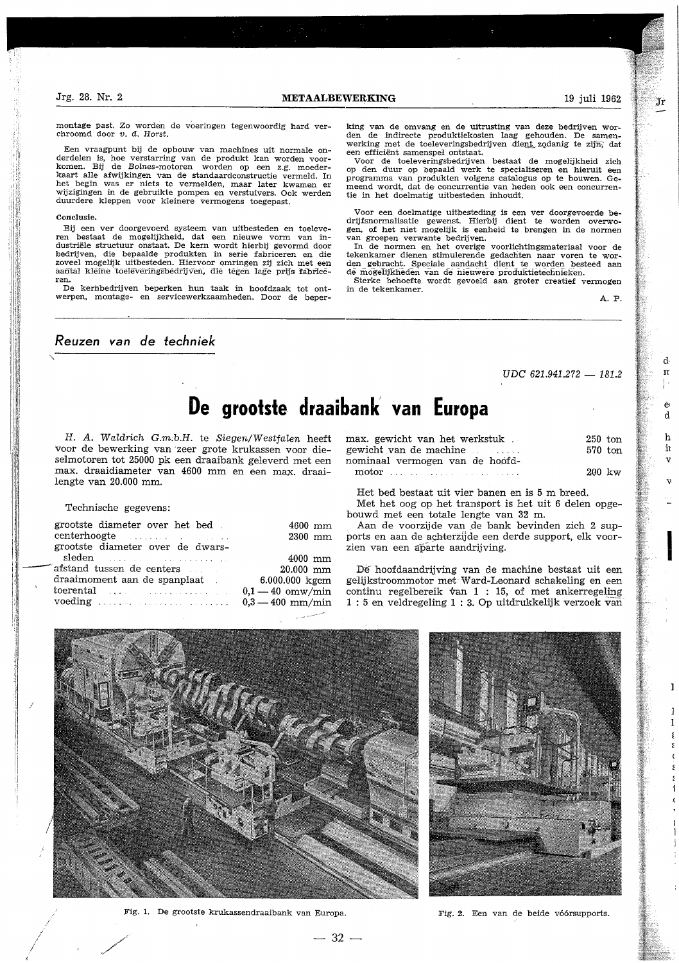montage past. Zo worden de voeringen tegenwoordig hard verchroomd door v. d. Horst.

Een vraagpunt bij de opbouw van machines uit normale onderdelen is, hoe verstarring van de produkt kan worden voorkomen. Bij de Bolnes-motoren worden op een z.g. moederkaart alle afwijkingen van de standaardconstructie vermeld. In het begin was er niets te vermelden, maar later kwamen er wijzigingen in de gebruikte pompen en verstuivers. Ook werden duurdere kleppen voor kleinere vermogens toegepast.

#### Conclusie.

Bij een ver doorgevoerd systeem van uitbesteden en toeleveren bestaat de mogelijkheid, dat een nieuwe vorm van industriële structuur onstaat. De kern wordt hierbij gevormd door bedrijven, die bepaalde produkten in serie fabriceren en die zoveel mogelijk uitbesteden. Hiervoor omringen zij zich met een aantal kleine toeleveringsbedrijven, die tegen lage prijs fabriceren.

De kernbedrijven beperken hun taak in hoofdzaak tot ontwerpen, montage- en servicewerkzaamheden. Door de beper-

Reuzen van de techniek

king van de omvang en de uitrusting van deze bedrijven worden de indirecte produktiekosten laag gehouden. De samenwerking met de toeleveringsbedrijven dient zodanig te zijn, dat een efficiënt samenspel ontstaat.

Voor de toeleveringsbedrijven bestaat de mogelijkheid zich op den duur op bepaald werk te specialiseren en hieruit een programma van produkten volgens catalogus op te bouwen. Gemeend wordt, dat de concurrentie van heden ook een concurrentie in het doelmatig uitbesteden inhoudt.

Voor een doelmatige uitbesteding is een ver doorgevoerde bedrijfsnormalisatie gewenst. Hierbij dient te worden overwogen, of het niet mogelijk is eenheid te brengen in de normen van groepen verwante bedrijven.

In de normen en het overige voorlichtingsmateriaal voor de tekenkamer dienen stimulerende gedachten naar voren te worden gebracht. Speciale aandacht dient te worden besteed aan de mogelijkheden van de nieuwere produktietechnieken.

Sterke behoefte wordt gevoeld aan groter creatief vermogen in de tekenkamer.

 $A. P.$ 

UDC 621.941.272 - 181.2

# De grootste draaibank van Europa

H. A. Waldrich G.m.b.H. te Siegen/Westfalen heeft voor de bewerking van zeer grote krukassen voor dieselmotoren tot 25000 pk een draaibank geleverd met een max. draaidiameter van 4600 mm en een max. draailengte van 20.000 mm.

### Technische gegevens:

| grootste diameter over het bed.<br>centerhoogte entertainment of the second second second second second second second second second second second second second second second second second second second second second second second second second second second | $4600$ mm<br>$2300$ mm |
|-------------------------------------------------------------------------------------------------------------------------------------------------------------------------------------------------------------------------------------------------------------------|------------------------|
| grootste diameter over de dwars-                                                                                                                                                                                                                                  |                        |
| sleden and the same construction of                                                                                                                                                                                                                               | $4000$ mm              |
| afstand tussen de centers                                                                                                                                                                                                                                         | 20.000 mm              |
| draaimoment aan de spanplaat                                                                                                                                                                                                                                      | 6.000.000 kgcm         |
| toerental contract the contract of the contract of the contract of the contract of the contract of the contract of the contract of the contract of the contract of the contract of the contract of the contract of the contrac                                    | $0.1 - 40$ omw/min     |
| voeding $\ldots$ $\ldots$ $\ldots$ $\ldots$ $0,3-400$ mm/min                                                                                                                                                                                                      |                        |
|                                                                                                                                                                                                                                                                   |                        |

| max. gewicht van het werkstuk.  | $250$ ton            |  |
|---------------------------------|----------------------|--|
| gewicht van de machine          | 570 ton              |  |
| nominaal vermogen van de hoofd- |                      |  |
|                                 | $200 \; \mathrm{kw}$ |  |

Het bed bestaat uit vier banen en is 5 m breed.

Met het oog op het transport is het uit 6 delen opgebouwd met een totale lengte van 32 m.

Aan de voorzijde van de bank bevinden zich 2 supports en aan de achterzijde een derde support, elk voorzien van een aparte aandrijving.

De hoofdaandrijving van de machine bestaat uit een gelijkstroommotor met Ward-Leonard schakeling en een continu regelbereik  $\text{van } 1$  : 15, of met ankerregeling 1:5 en veldregeling 1:3. Op uitdrukkelijk verzoek van



Fig. 1. De grootste krukassendraaibank van Europa.

Fig. 2. Een van de beide vóórsupports.